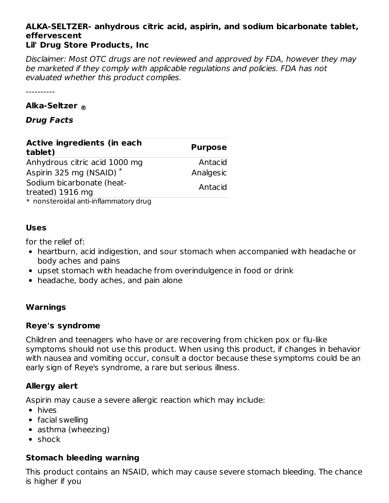## **ALKA-SELTZER- anhydrous citric acid, aspirin, and sodium bicarbonate tablet, effervescent**

## **Lil' Drug Store Products, Inc**

Disclaimer: Most OTC drugs are not reviewed and approved by FDA, however they may be marketed if they comply with applicable regulations and policies. FDA has not evaluated whether this product complies.

----------

**Alka-Seltzer ®**

## **Drug Facts**

| Active ingredients (in each<br>tablet)        | <b>Purpose</b> |  |
|-----------------------------------------------|----------------|--|
| Anhydrous citric acid 1000 mg                 | Antacid        |  |
| Aspirin 325 mg (NSAID) *                      | Analgesic      |  |
| Sodium bicarbonate (heat-<br>treated) 1916 mg | Antacid        |  |
|                                               |                |  |

 $\ast\,$  nonsteroidal anti-inflammatory drug

#### **Uses**

for the relief of:

- heartburn, acid indigestion, and sour stomach when accompanied with headache or body aches and pains
- upset stomach with headache from overindulgence in food or drink
- headache, body aches, and pain alone

#### **Warnings**

#### **Reye's syndrome**

Children and teenagers who have or are recovering from chicken pox or flu-like symptoms should not use this product. When using this product, if changes in behavior with nausea and vomiting occur, consult a doctor because these symptoms could be an early sign of Reye's syndrome, a rare but serious illness.

## **Allergy alert**

Aspirin may cause a severe allergic reaction which may include:

- hives
- facial swelling
- asthma (wheezing)
- shock

## **Stomach bleeding warning**

This product contains an NSAID, which may cause severe stomach bleeding. The chance is higher if you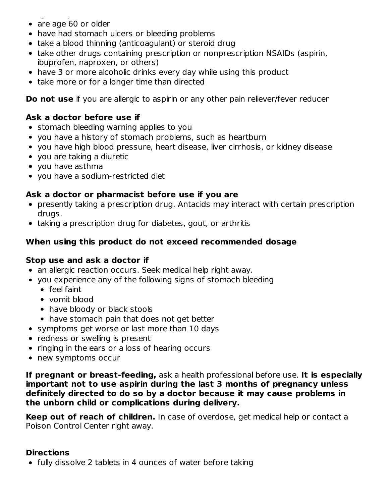- is higher if you • are age 60 or older
- have had stomach ulcers or bleeding problems
- take a blood thinning (anticoagulant) or steroid drug
- take other drugs containing prescription or nonprescription NSAIDs (aspirin, ibuprofen, naproxen, or others)
- have 3 or more alcoholic drinks every day while using this product
- take more or for a longer time than directed

**Do not use** if you are allergic to aspirin or any other pain reliever/fever reducer

#### **Ask a doctor before use if**

- stomach bleeding warning applies to you
- you have a history of stomach problems, such as heartburn
- you have high blood pressure, heart disease, liver cirrhosis, or kidney disease
- you are taking a diuretic
- you have asthma
- you have a sodium-restricted diet

## **Ask a doctor or pharmacist before use if you are**

- presently taking a prescription drug. Antacids may interact with certain prescription drugs.
- taking a prescription drug for diabetes, gout, or arthritis

## **When using this product do not exceed recommended dosage**

## **Stop use and ask a doctor if**

- an allergic reaction occurs. Seek medical help right away.
- you experience any of the following signs of stomach bleeding
	- feel faint
	- vomit blood
	- have bloody or black stools
	- have stomach pain that does not get better
- symptoms get worse or last more than 10 days
- redness or swelling is present
- ringing in the ears or a loss of hearing occurs
- new symptoms occur

#### **If pregnant or breast-feeding,** ask a health professional before use. **It is especially important not to use aspirin during the last 3 months of pregnancy unless definitely directed to do so by a doctor because it may cause problems in the unborn child or complications during delivery.**

**Keep out of reach of children.** In case of overdose, get medical help or contact a Poison Control Center right away.

## **Directions**

• fully dissolve 2 tablets in 4 ounces of water before taking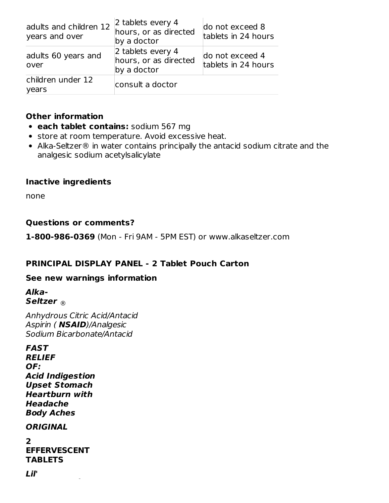| adults and children 12<br>years and over | 2 tablets every 4<br>hours, or as directed<br>by a doctor         | do not exceed 8<br>tablets in 24 hours |
|------------------------------------------|-------------------------------------------------------------------|----------------------------------------|
| adults 60 years and<br>over              | $\vert$ 2 tablets every 4<br>hours, or as directed<br>by a doctor | do not exceed 4<br>tablets in 24 hours |
| children under 12<br>years               | consult a doctor                                                  |                                        |

#### **Other information**

- **each tablet contains:** sodium 567 mg
- **•** store at room temperature. Avoid excessive heat.
- Alka-Seltzer® in water contains principally the antacid sodium citrate and the analgesic sodium acetylsalicylate

#### **Inactive ingredients**

none

#### **Questions or comments?**

**1-800-986-0369** (Mon - Fri 9AM - 5PM EST) or www.alkaseltzer.com

## **PRINCIPAL DISPLAY PANEL - 2 Tablet Pouch Carton**

#### **See new warnings information**

## **Alka-Seltzer** ®

Anhydrous Citric Acid/Antacid Aspirin ( **NSAID**)/Analgesic Sodium Bicarbonate/Antacid

## **FAST**

**RELIEF OF: Acid Indigestion Upset Stomach Heartburn with Headache Body Aches**

## **ORIGINAL**

**2 EFFERVESCENT TABLETS**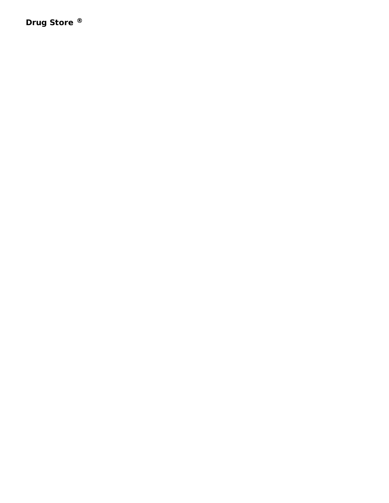**Drug Store ®**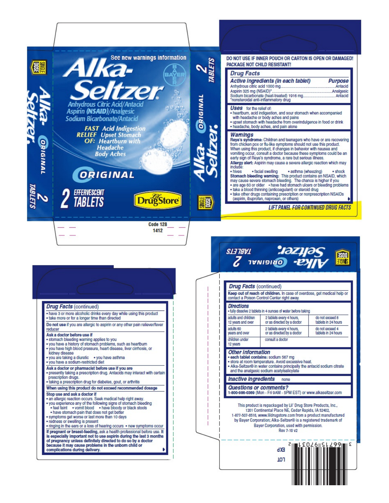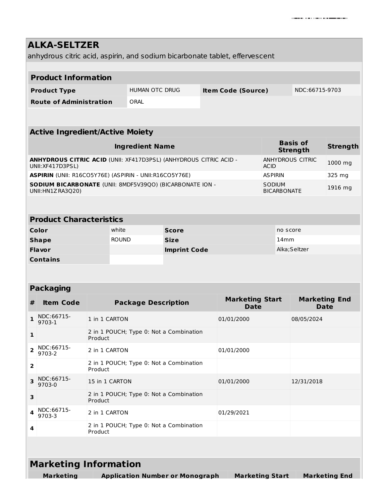# **ALKA-SELTZER**

anhydrous citric acid, aspirin, and sodium bicarbonate tablet, effervescent

|               | <b>Product Information</b>                                                                  |                |                                         |                     |             |                                       |                                    |                                     |
|---------------|---------------------------------------------------------------------------------------------|----------------|-----------------------------------------|---------------------|-------------|---------------------------------------|------------------------------------|-------------------------------------|
|               | <b>HUMAN OTC DRUG</b><br>NDC:66715-9703<br><b>Product Type</b><br><b>Item Code (Source)</b> |                |                                         |                     |             |                                       |                                    |                                     |
|               | <b>Route of Administration</b>                                                              |                | ORAL                                    |                     |             |                                       |                                    |                                     |
|               |                                                                                             |                |                                         |                     |             |                                       |                                    |                                     |
|               | <b>Active Ingredient/Active Moiety</b>                                                      |                |                                         |                     |             |                                       |                                    |                                     |
|               |                                                                                             |                | <b>Ingredient Name</b>                  |                     |             |                                       | <b>Basis of</b><br><b>Strength</b> | <b>Strength</b>                     |
|               | ANHYDROUS CITRIC ACID (UNII: XF417D3PSL) (ANHYDROUS CITRIC ACID -<br>UNII: XF417D3PSL)      |                |                                         |                     | <b>ACID</b> | <b>ANHYDROUS CITRIC</b>               | 1000 mg                            |                                     |
|               | ASPIRIN (UNII: R16CO5Y76E) (ASPIRIN - UNII:R16CO5Y76E)                                      |                |                                         |                     |             | <b>ASPIRIN</b>                        |                                    | 325 mg                              |
|               | SODIUM BICARBONATE (UNII: 8MDF5V39QO) (BICARBONATE ION -<br>UNII: HN1Z RA3Q20)              |                |                                         |                     |             | <b>SODIUM</b><br><b>BICARBONATE</b>   |                                    | 1916 mg                             |
|               |                                                                                             |                |                                         |                     |             |                                       |                                    |                                     |
|               | <b>Product Characteristics</b>                                                              |                |                                         |                     |             |                                       |                                    |                                     |
|               | Color                                                                                       |                | white                                   | <b>Score</b>        |             |                                       | no score                           |                                     |
| <b>Shape</b>  |                                                                                             | <b>ROUND</b>   | <b>Size</b>                             |                     |             | 14 <sub>mm</sub>                      |                                    |                                     |
| <b>Flavor</b> |                                                                                             |                |                                         | <b>Imprint Code</b> |             |                                       | Alka; Seltzer                      |                                     |
|               | <b>Contains</b>                                                                             |                |                                         |                     |             |                                       |                                    |                                     |
|               |                                                                                             |                |                                         |                     |             |                                       |                                    |                                     |
|               | <b>Packaging</b>                                                                            |                |                                         |                     |             |                                       |                                    |                                     |
| #             | <b>Item Code</b>                                                                            |                | <b>Package Description</b>              |                     |             | <b>Marketing Start</b><br><b>Date</b> |                                    | <b>Marketing End</b><br><b>Date</b> |
| 1             | NDC:66715-<br>9703-1                                                                        | 1 in 1 CARTON  |                                         |                     | 01/01/2000  |                                       | 08/05/2024                         |                                     |
| 1             |                                                                                             | Product        | 2 in 1 POUCH; Type 0: Not a Combination |                     |             |                                       |                                    |                                     |
| 2             | NDC:66715-<br>9703-2                                                                        | 2 in 1 CARTON  |                                         |                     | 01/01/2000  |                                       |                                    |                                     |
| 2             |                                                                                             | Product        | 2 in 1 POUCH; Type 0: Not a Combination |                     |             |                                       |                                    |                                     |
| 3             | NDC:66715-<br>9703-0                                                                        | 15 in 1 CARTON |                                         |                     | 01/01/2000  |                                       | 12/31/2018                         |                                     |
| 3             |                                                                                             | Product        | 2 in 1 POUCH; Type 0: Not a Combination |                     |             |                                       |                                    |                                     |
| 4             | NDC:66715-<br>9703-3                                                                        | 2 in 1 CARTON  |                                         |                     | 01/29/2021  |                                       |                                    |                                     |
| 4             |                                                                                             | Product        | 2 in 1 POUCH; Type 0: Not a Combination |                     |             |                                       |                                    |                                     |
|               |                                                                                             |                |                                         |                     |             |                                       |                                    |                                     |
|               |                                                                                             |                |                                         |                     |             |                                       |                                    |                                     |
|               |                                                                                             |                |                                         |                     |             |                                       |                                    |                                     |
|               | <b>Marketing Information</b><br><b>Marketing</b>                                            |                | <b>Application Number or Monograph</b>  |                     |             | <b>Marketing Start</b>                |                                    | <b>Marketing End</b>                |